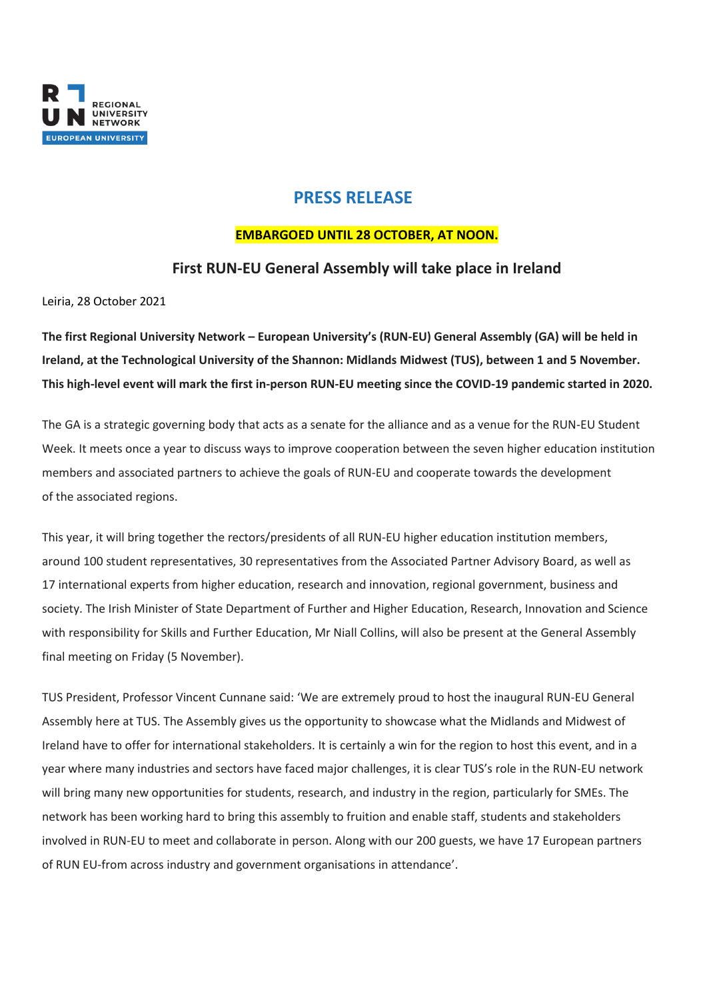

# **PRESS RELEASE**

### **EMBARGOED UNTIL 28 OCTOBER, AT NOON.**

## **First RUN-EU General Assembly will take place in Ireland**

Leiria, 28 October 2021

**The first Regional University Network – European University's (RUN-EU) General Assembly (GA) will be held in Ireland, at the Technological University of the Shannon: Midlands Midwest (TUS), between 1 and 5 November. This high-level event will mark the first in-person RUN-EU meeting since the COVID-19 pandemic started in 2020.**

The GA is a strategic governing body that acts as a senate for the alliance and as a venue for the RUN-EU Student Week. It meets once a year to discuss ways to improve cooperation between the seven higher education institution members and associated partners to achieve the goals of RUN-EU and cooperate towards the development of the associated regions.

This year, it will bring together the rectors/presidents of all RUN-EU higher education institution members, around 100 student representatives, 30 representatives from the Associated Partner Advisory Board, as well as 17 international experts from higher education, research and innovation, regional government, business and society. The Irish Minister of State Department of Further and Higher Education, Research, Innovation and Science with responsibility for Skills and Further Education, Mr Niall Collins, will also be present at the General Assembly final meeting on Friday (5 November).

TUS President, Professor Vincent Cunnane said: 'We are extremely proud to host the inaugural RUN-EU General Assembly here at TUS. The Assembly gives us the opportunity to showcase what the Midlands and Midwest of Ireland have to offer for international stakeholders. It is certainly a win for the region to host this event, and in a year where many industries and sectors have faced major challenges, it is clear TUS's role in the RUN-EU network will bring many new opportunities for students, research, and industry in the region, particularly for SMEs. The network has been working hard to bring this assembly to fruition and enable staff, students and stakeholders involved in RUN-EU to meet and collaborate in person. Along with our 200 guests, we have 17 European partners of RUN EU-from across industry and government organisations in attendance'.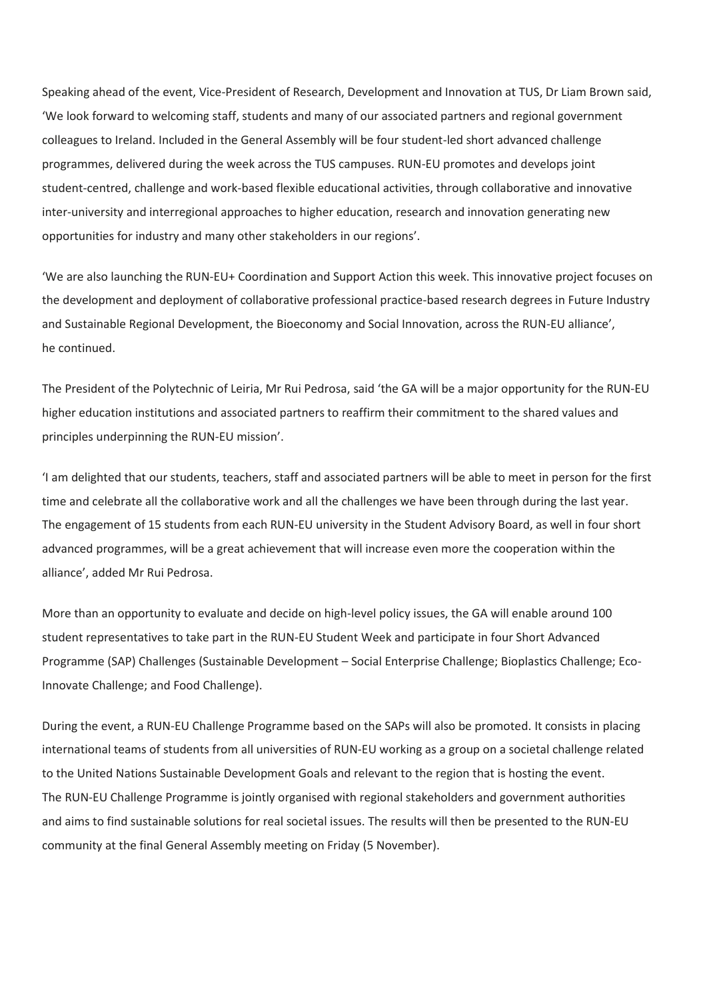Speaking ahead of the event, Vice-President of Research, Development and Innovation at TUS, Dr Liam Brown said, 'We look forward to welcoming staff, students and many of our associated partners and regional government colleagues to Ireland. Included in the General Assembly will be four student-led short advanced challenge programmes, delivered during the week across the TUS campuses. RUN-EU promotes and develops joint student-centred, challenge and work-based flexible educational activities, through collaborative and innovative inter-university and interregional approaches to higher education, research and innovation generating new opportunities for industry and many other stakeholders in our regions'.

'We are also launching the RUN-EU+ Coordination and Support Action this week. This innovative project focuses on the development and deployment of collaborative professional practice-based research degrees in Future Industry and Sustainable Regional Development, the Bioeconomy and Social Innovation, across the RUN-EU alliance', he continued.

The President of the Polytechnic of Leiria, Mr Rui Pedrosa, said 'the GA will be a major opportunity for the RUN-EU higher education institutions and associated partners to reaffirm their commitment to the shared values and principles underpinning the RUN-EU mission'.

'I am delighted that our students, teachers, staff and associated partners will be able to meet in person for the first time and celebrate all the collaborative work and all the challenges we have been through during the last year. The engagement of 15 students from each RUN-EU university in the Student Advisory Board, as well in four short advanced programmes, will be a great achievement that will increase even more the cooperation within the alliance', added Mr Rui Pedrosa.

More than an opportunity to evaluate and decide on high-level policy issues, the GA will enable around 100 student representatives to take part in the RUN-EU Student Week and participate in four Short Advanced Programme (SAP) Challenges (Sustainable Development – Social Enterprise Challenge; Bioplastics Challenge; Eco-Innovate Challenge; and Food Challenge).

During the event, a RUN-EU Challenge Programme based on the SAPs will also be promoted. It consists in placing international teams of students from all universities of RUN-EU working as a group on a societal challenge related to the United Nations Sustainable Development Goals and relevant to the region that is hosting the event. The RUN-EU Challenge Programme is jointly organised with regional stakeholders and government authorities and aims to find sustainable solutions for real societal issues. The results will then be presented to the RUN-EU community at the final General Assembly meeting on Friday (5 November).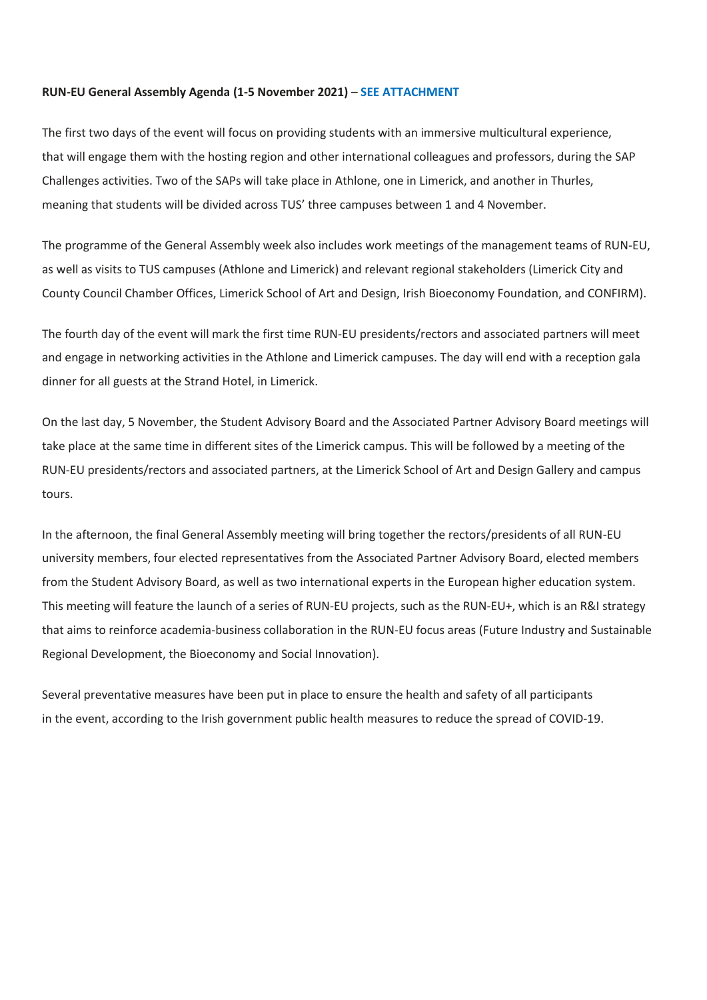#### **RUN-EU General Assembly Agenda (1-5 November 2021)** – **SEE ATTACHMENT**

The first two days of the event will focus on providing students with an immersive multicultural experience, that will engage them with the hosting region and other international colleagues and professors, during the SAP Challenges activities. Two of the SAPs will take place in Athlone, one in Limerick, and another in Thurles, meaning that students will be divided across TUS' three campuses between 1 and 4 November.

The programme of the General Assembly week also includes work meetings of the management teams of RUN-EU, as well as visits to TUS campuses (Athlone and Limerick) and relevant regional stakeholders (Limerick City and County Council Chamber Offices, Limerick School of Art and Design, Irish Bioeconomy Foundation, and CONFIRM).

The fourth day of the event will mark the first time RUN-EU presidents/rectors and associated partners will meet and engage in networking activities in the Athlone and Limerick campuses. The day will end with a reception gala dinner for all guests at the Strand Hotel, in Limerick.

On the last day, 5 November, the Student Advisory Board and the Associated Partner Advisory Board meetings will take place at the same time in different sites of the Limerick campus. This will be followed by a meeting of the RUN-EU presidents/rectors and associated partners, at the Limerick School of Art and Design Gallery and campus tours.

In the afternoon, the final General Assembly meeting will bring together the rectors/presidents of all RUN-EU university members, four elected representatives from the Associated Partner Advisory Board, elected members from the Student Advisory Board, as well as two international experts in the European higher education system. This meeting will feature the launch of a series of RUN-EU projects, such as the RUN-EU+, which is an R&I strategy that aims to reinforce academia-business collaboration in the RUN-EU focus areas (Future Industry and Sustainable Regional Development, the Bioeconomy and Social Innovation).

Several preventative measures have been put in place to ensure the health and safety of all participants in the event, according to the Irish government public health measures to reduce the spread of COVID-19.